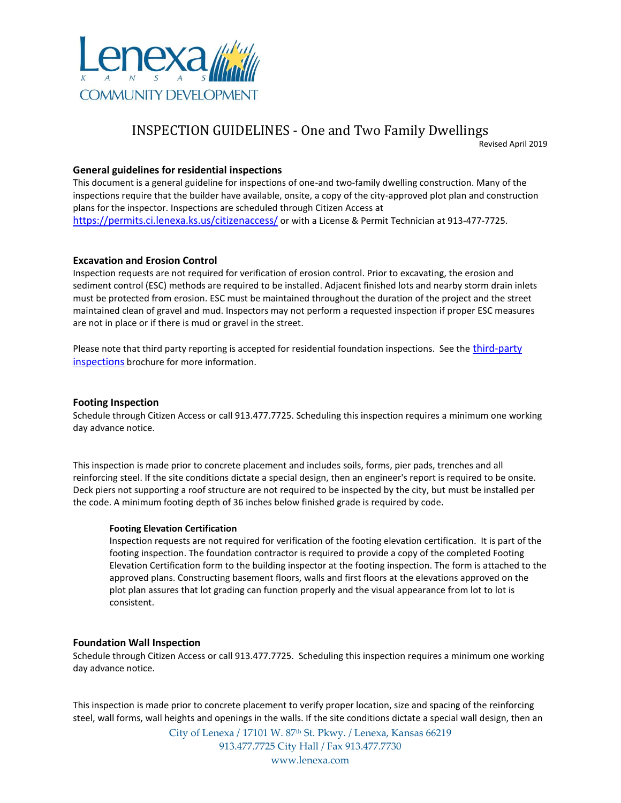

# INSPECTION GUIDELINES - One and Two Family Dwellings

Revised April 2019

# **General guidelines for residential inspections**

This document is a general guideline for inspections of one-and two-family dwelling construction. Many of the inspections require that the builder have available, onsite, a copy of the city-approved plot plan and construction plans for the inspector. Inspections are scheduled through Citizen Access at <https://permits.ci.lenexa.ks.us/citizenaccess/> or with a License & Permit Technician at 913-477-7725.

# **Excavation and Erosion Control**

Inspection requests are not required for verification of erosion control. Prior to excavating, the erosion and sediment control (ESC) methods are required to be installed. Adjacent finished lots and nearby storm drain inlets must be protected from erosion. ESC must be maintained throughout the duration of the project and the street maintained clean of gravel and mud. Inspectors may not perform a requested inspection if proper ESC measures are not in place or if there is mud or gravel in the street.

Please note that third party reporting is accepted for residential foundation inspections. See the *third-party* [inspections](https://www.lenexa.com/Assets/departments/commdev/pdfs/3rd%20Party%20Inspection%20One%20and%20Two%20Family%20Dwellings.pdf) brochure for more information.

# **Footing Inspection**

Schedule through Citizen Access or call 913.477.7725. Scheduling this inspection requires a minimum one working day advance notice.

This inspection is made prior to concrete placement and includes soils, forms, pier pads, trenches and all reinforcing steel. If the site conditions dictate a special design, then an engineer's report is required to be onsite. Deck piers not supporting a roof structure are not required to be inspected by the city, but must be installed per the code. A minimum footing depth of 36 inches below finished grade is required by code.

# **Footing Elevation Certification**

Inspection requests are not required for verification of the footing elevation certification. It is part of the footing inspection. The foundation contractor is required to provide a copy of the completed Footing Elevation Certification form to the building inspector at the footing inspection. The form is attached to the approved plans. Constructing basement floors, walls and first floors at the elevations approved on the plot plan assures that lot grading can function properly and the visual appearance from lot to lot is consistent.

# **Foundation Wall Inspection**

Schedule through Citizen Access or call 913.477.7725. Scheduling this inspection requires a minimum one working day advance notice.

This inspection is made prior to concrete placement to verify proper location, size and spacing of the reinforcing steel, wall forms, wall heights and openings in the walls. If the site conditions dictate a special wall design, then an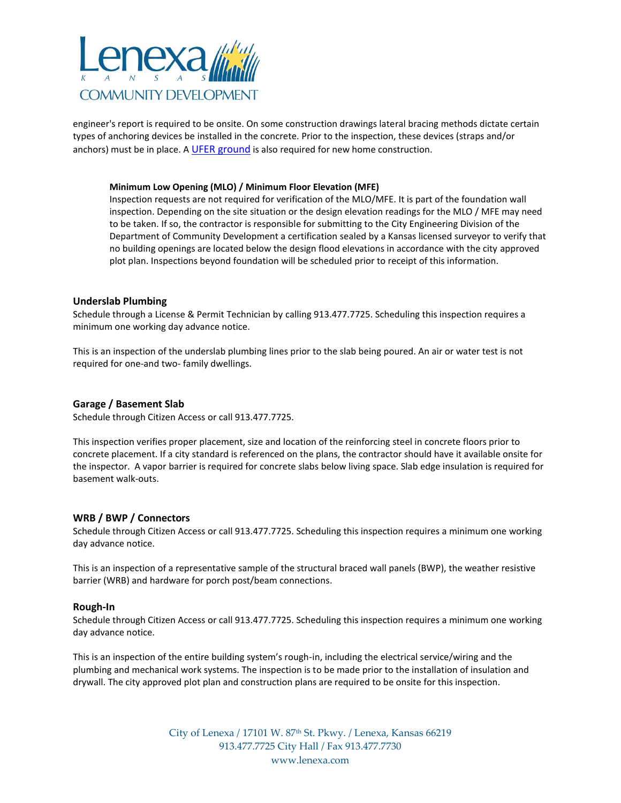

engineer's report is required to be onsite. On some construction drawings lateral bracing methods dictate certain types of anchoring devices be installed in the concrete. Prior to the inspection, these devices (straps and/or anchors) must be in place. A [UFER ground](http://www.lenexa.com/Assets/departments/commdev/pdfs/Ufer%20Ground.pdf) is also required for new home construction.

## **Minimum Low Opening (MLO) / Minimum Floor Elevation (MFE)**

Inspection requests are not required for verification of the MLO/MFE. It is part of the foundation wall inspection. Depending on the site situation or the design elevation readings for the MLO / MFE may need to be taken. If so, the contractor is responsible for submitting to the City Engineering Division of the Department of Community Development a certification sealed by a Kansas licensed surveyor to verify that no building openings are located below the design flood elevations in accordance with the city approved plot plan. Inspections beyond foundation will be scheduled prior to receipt of this information.

## **Underslab Plumbing**

Schedule through a License & Permit Technician by calling 913.477.7725. Scheduling this inspection requires a minimum one working day advance notice.

This is an inspection of the underslab plumbing lines prior to the slab being poured. An air or water test is not required for one-and two- family dwellings.

## **Garage / Basement Slab**

Schedule through Citizen Access or call 913.477.7725.

This inspection verifies proper placement, size and location of the reinforcing steel in concrete floors prior to concrete placement. If a city standard is referenced on the plans, the contractor should have it available onsite for the inspector. A vapor barrier is required for concrete slabs below living space. Slab edge insulation is required for basement walk-outs.

## **WRB / BWP / Connectors**

Schedule through Citizen Access or call 913.477.7725. Scheduling this inspection requires a minimum one working day advance notice.

This is an inspection of a representative sample of the structural braced wall panels (BWP), the weather resistive barrier (WRB) and hardware for porch post/beam connections.

## **Rough-In**

Schedule through Citizen Access or call 913.477.7725. Scheduling this inspection requires a minimum one working day advance notice.

This is an inspection of the entire building system's rough-in, including the electrical service/wiring and the plumbing and mechanical work systems. The inspection is to be made prior to the installation of insulation and drywall. The city approved plot plan and construction plans are required to be onsite for this inspection.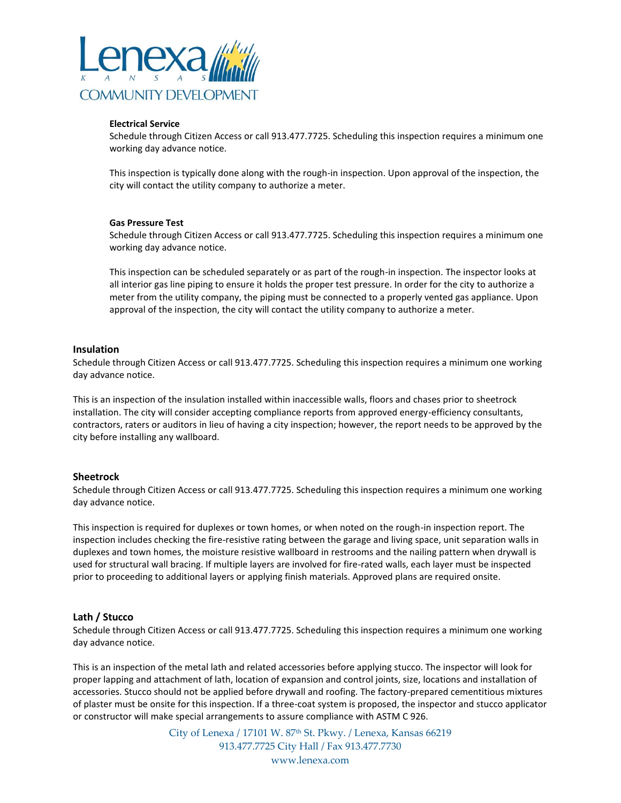

## **Electrical Service**

Schedule through Citizen Access or call 913.477.7725. Scheduling this inspection requires a minimum one working day advance notice.

This inspection is typically done along with the rough-in inspection. Upon approval of the inspection, the city will contact the utility company to authorize a meter.

## **Gas Pressure Test**

Schedule through Citizen Access or call 913.477.7725. Scheduling this inspection requires a minimum one working day advance notice.

This inspection can be scheduled separately or as part of the rough-in inspection. The inspector looks at all interior gas line piping to ensure it holds the proper test pressure. In order for the city to authorize a meter from the utility company, the piping must be connected to a properly vented gas appliance. Upon approval of the inspection, the city will contact the utility company to authorize a meter.

## **Insulation**

Schedule through Citizen Access or call 913.477.7725. Scheduling this inspection requires a minimum one working day advance notice.

This is an inspection of the insulation installed within inaccessible walls, floors and chases prior to sheetrock installation. The city will consider accepting compliance reports from approved energy-efficiency consultants, contractors, raters or auditors in lieu of having a city inspection; however, the report needs to be approved by the city before installing any wallboard.

# **Sheetrock**

Schedule through Citizen Access or call 913.477.7725. Scheduling this inspection requires a minimum one working day advance notice.

This inspection is required for duplexes or town homes, or when noted on the rough-in inspection report. The inspection includes checking the fire-resistive rating between the garage and living space, unit separation walls in duplexes and town homes, the moisture resistive wallboard in restrooms and the nailing pattern when drywall is used for structural wall bracing. If multiple layers are involved for fire-rated walls, each layer must be inspected prior to proceeding to additional layers or applying finish materials. Approved plans are required onsite.

# **Lath / Stucco**

Schedule through Citizen Access or call 913.477.7725. Scheduling this inspection requires a minimum one working day advance notice.

This is an inspection of the metal lath and related accessories before applying stucco. The inspector will look for proper lapping and attachment of lath, location of expansion and control joints, size, locations and installation of accessories. Stucco should not be applied before drywall and roofing. The factory-prepared cementitious mixtures of plaster must be onsite for this inspection. If a three-coat system is proposed, the inspector and stucco applicator or constructor will make special arrangements to assure compliance with ASTM C 926.